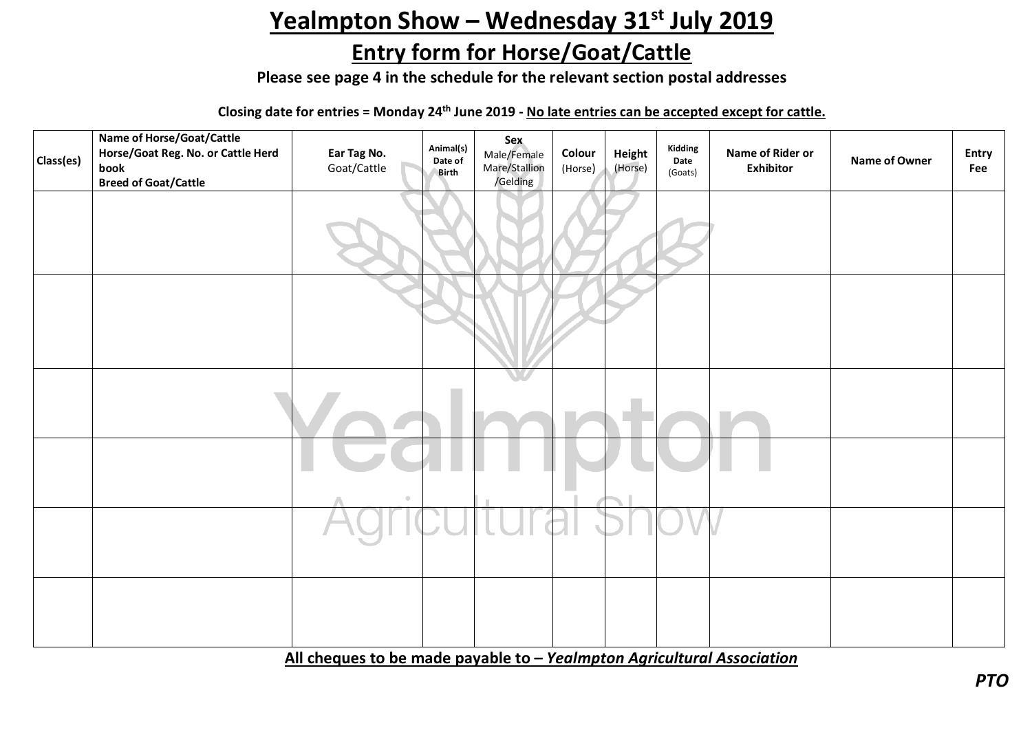## Yealmpton Show - Wednesday 31<sup>st</sup> July 2019

## **Entry form for Horse/Goat/Cattle**

**Please see page 4 in the schedule for the relevant section postal addresses**

**Closing date for entries = Monday 24th June 2019 - No late entries can be accepted except for cattle.**

| Class(es) | Name of Horse/Goat/Cattle<br>Horse/Goat Reg. No. or Cattle Herd<br>book<br><b>Breed of Goat/Cattle</b> | Ear Tag No.<br>Goat/Cattle | Animal(s)<br>Date of<br>Birth | Sex<br>Male/Female<br>Mare/Stallion<br>/Gelding | Colour<br>(Horse) | Height<br>(Horse) | Kidding<br>Date<br>(Goats) | Name of Rider or<br><b>Exhibitor</b> | Name of Owner | Entry<br>Fee |
|-----------|--------------------------------------------------------------------------------------------------------|----------------------------|-------------------------------|-------------------------------------------------|-------------------|-------------------|----------------------------|--------------------------------------|---------------|--------------|
|           |                                                                                                        |                            |                               |                                                 |                   |                   |                            |                                      |               |              |
|           |                                                                                                        |                            |                               |                                                 |                   |                   |                            |                                      |               |              |
|           |                                                                                                        |                            |                               |                                                 |                   |                   |                            |                                      |               |              |
|           |                                                                                                        |                            |                               |                                                 |                   |                   |                            |                                      |               |              |
|           |                                                                                                        |                            |                               |                                                 |                   |                   |                            |                                      |               |              |
|           |                                                                                                        |                            |                               |                                                 |                   |                   |                            |                                      |               |              |

**All cheques to be made payable to –** *Yealmpton Agricultural Association*